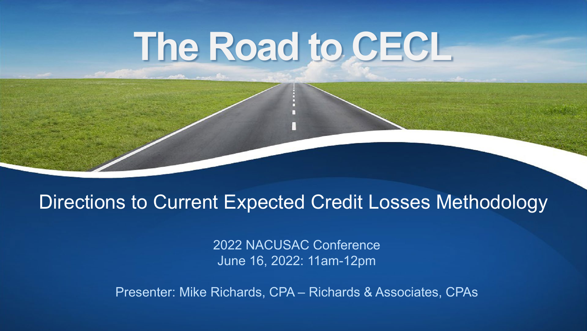# **The Road to CECL**

#### Directions to Current Expected Credit Losses Methodology

2022 NACUSAC Conference June 16, 2022: 11am-12pm

Presenter: Mike Richards, CPA – Richards & Associates, CPAs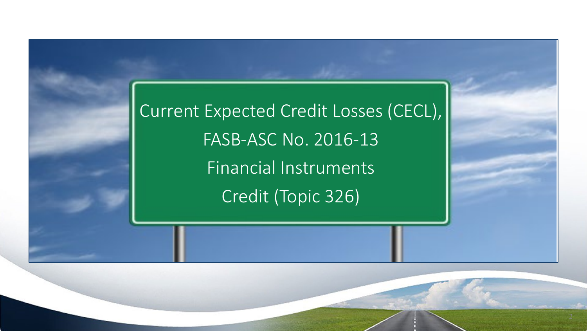Current Expected Credit Losses (CECL), FASB-ASC No. 2016-13 Financial Instruments Credit (Topic 326)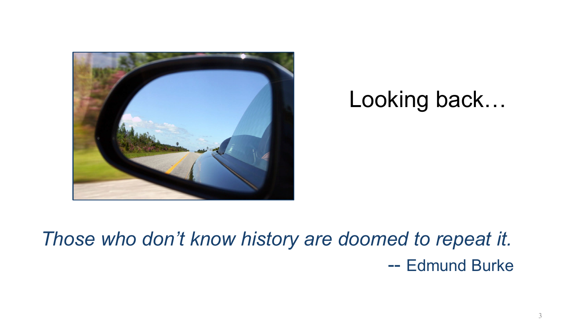

#### Looking back…

*Those who don't know history are doomed to repeat it.* -- Edmund Burke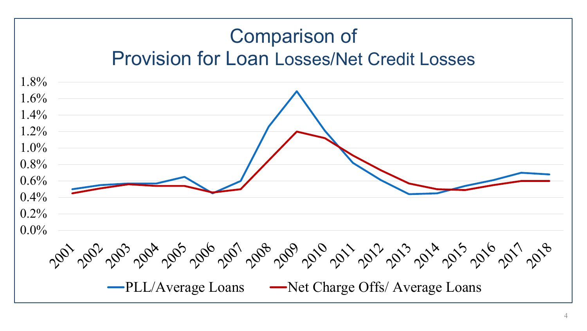#### Comparison of Provision for Loan Losses/Net Credit Losses

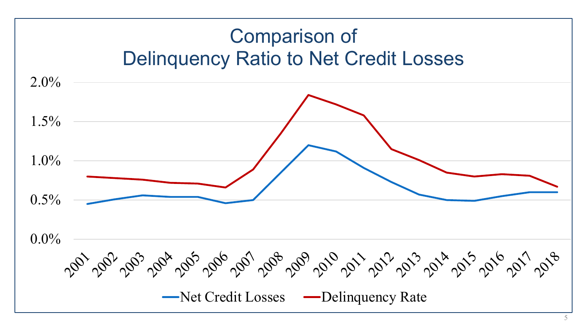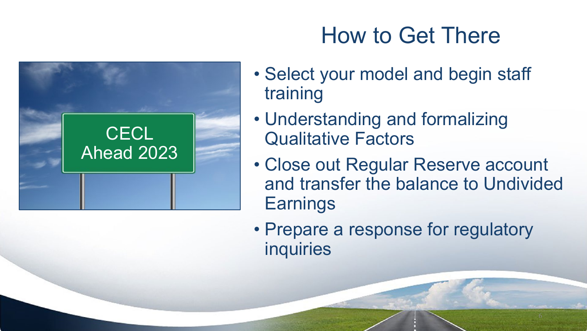

# How to Get There

- Select your model and begin staff training
- Understanding and formalizing Qualitative Factors
- Close out Regular Reserve account and transfer the balance to Undivided **Earnings**
- Prepare a response for regulatory inquiries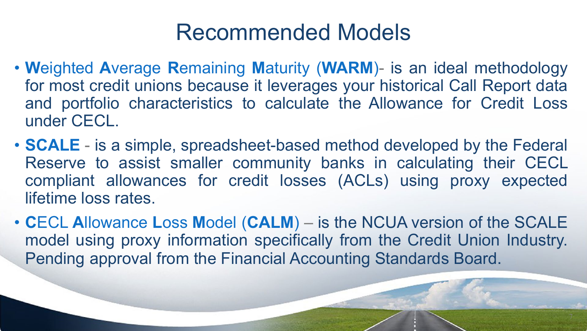### Recommended Models

- **W**eighted **A**verage **R**emaining **M**aturity (**WARM**)- is an ideal methodology for most credit unions because it leverages your historical Call Report data and portfolio characteristics to calculate the Allowance for Credit Loss under CECL.
- **SCALE** is a simple, spreadsheet-based method developed by the Federal Reserve to assist smaller community banks in calculating their CECL compliant allowances for credit losses (ACLs) using proxy expected lifetime loss rates.
- **C**ECL **A**llowance **L**oss **M**odel (**CALM**) is the NCUA version of the SCALE model using proxy information specifically from the Credit Union Industry. Pending approval from the Financial Accounting Standards Board.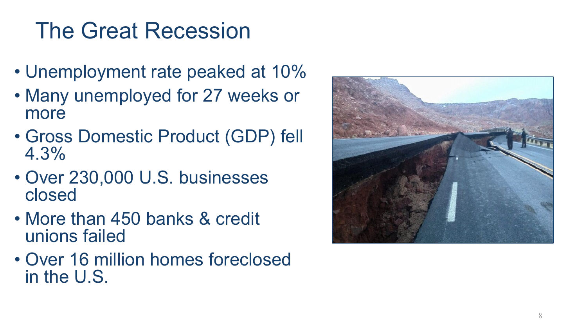# The Great Recession

- Unemployment rate peaked at 10%
- Many unemployed for 27 weeks or more
- Gross Domestic Product (GDP) fell 4.3%
- Over 230,000 U.S. businesses closed
- More than 450 banks & credit unions failed
- Over 16 million homes foreclosed in the U.S.

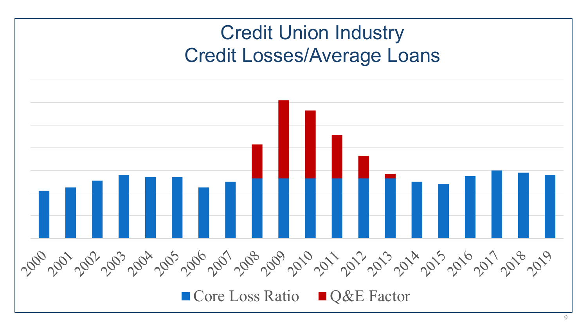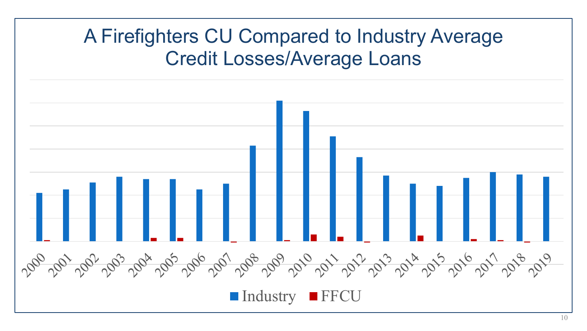#### A Firefighters CU Compared to Industry Average Credit Losses/Average Loans

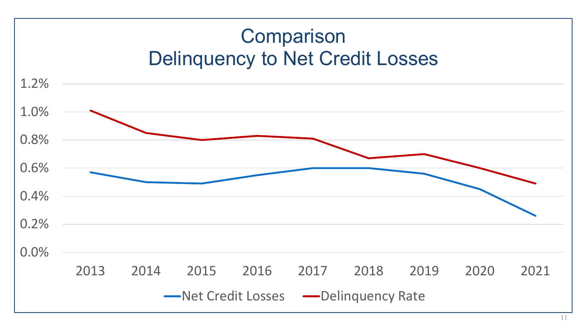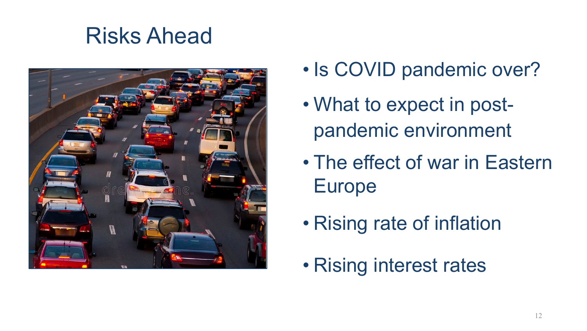## Risks Ahead



- Is COVID pandemic over?
- What to expect in postpandemic environment
- The effect of war in Eastern Europe
- Rising rate of inflation
- Rising interest rates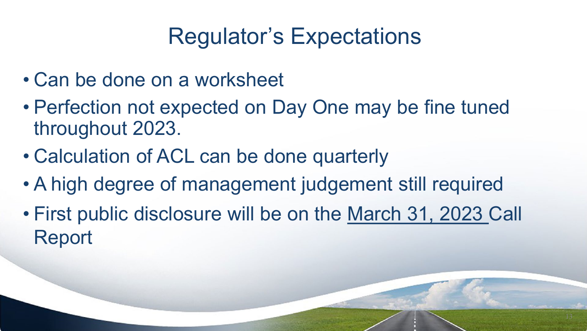## Regulator's Expectations

- Can be done on a worksheet
- Perfection not expected on Day One may be fine tuned throughout 2023.
- Calculation of ACL can be done quarterly
- A high degree of management judgement still required
- First public disclosure will be on the March 31, 2023 Call Report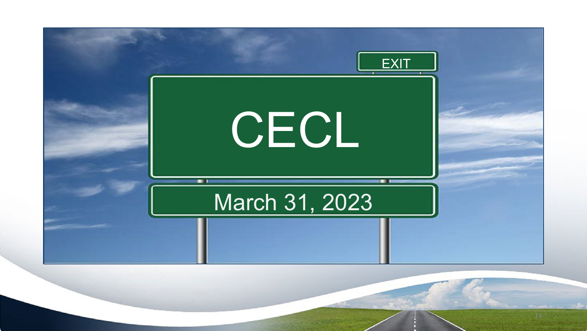